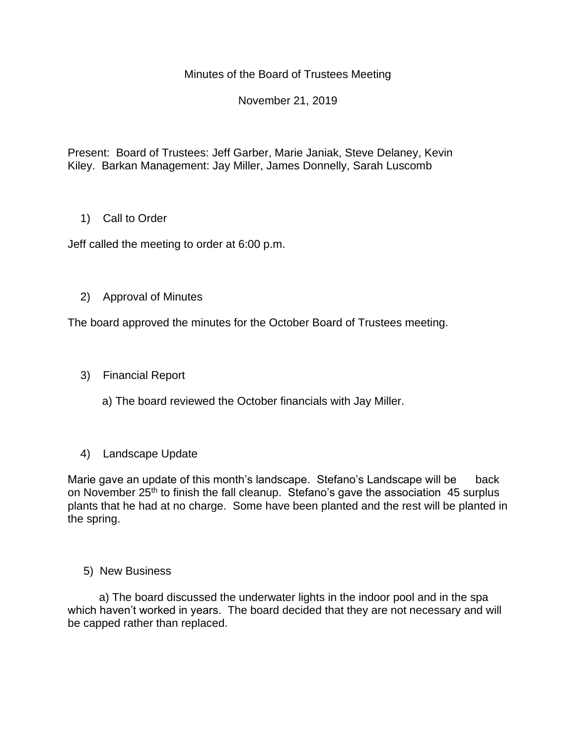## Minutes of the Board of Trustees Meeting

## November 21, 2019

Present: Board of Trustees: Jeff Garber, Marie Janiak, Steve Delaney, Kevin Kiley. Barkan Management: Jay Miller, James Donnelly, Sarah Luscomb

## 1) Call to Order

Jeff called the meeting to order at 6:00 p.m.

## 2) Approval of Minutes

The board approved the minutes for the October Board of Trustees meeting.

3) Financial Report

a) The board reviewed the October financials with Jay Miller.

4) Landscape Update

Marie gave an update of this month's landscape. Stefano's Landscape will be back on November 25<sup>th</sup> to finish the fall cleanup. Stefano's gave the association 45 surplus plants that he had at no charge. Some have been planted and the rest will be planted in the spring.

#### 5) New Business

 a) The board discussed the underwater lights in the indoor pool and in the spa which haven't worked in years. The board decided that they are not necessary and will be capped rather than replaced.